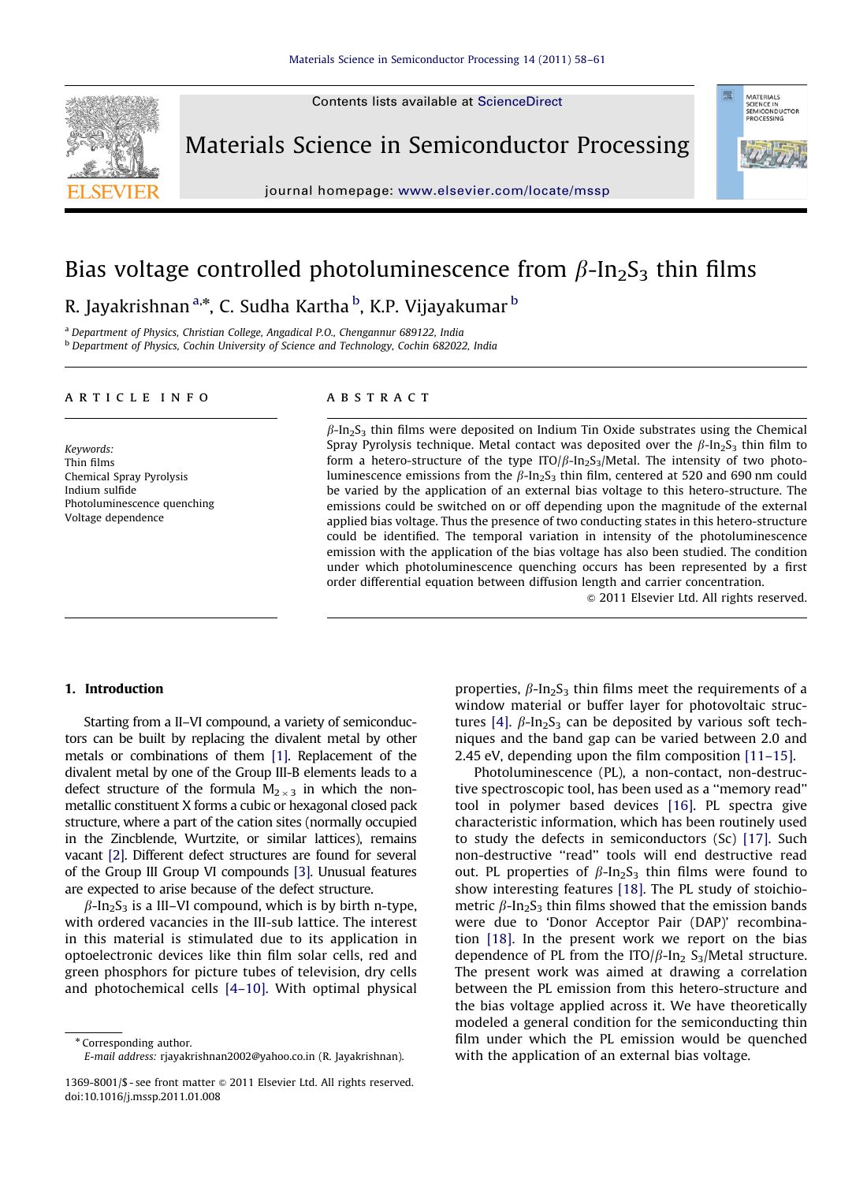Contents lists available at ScienceDirect



Materials Science in Semiconductor Processing



journal homepage: <www.elsevier.com/locate/mssp>

# Bias voltage controlled photoluminescence from  $\beta$ -In<sub>2</sub>S<sub>3</sub> thin films

R. Jayakrishnan <sup>a,</sup>\*, C. Sudha Kartha <sup>b</sup>, K.P. Vijayakumar <sup>b</sup>

<sup>a</sup> Department of Physics, Christian College, Angadical P.O., Chengannur 689122, India **b** Department of Physics, Cochin University of Science and Technology, Cochin 682022, India

### article info

Keywords: Thin films Chemical Spray Pyrolysis Indium sulfide Photoluminescence quenching Voltage dependence

# **ABSTRACT**

 $\beta$ -In<sub>2</sub>S<sub>3</sub> thin films were deposited on Indium Tin Oxide substrates using the Chemical Spray Pyrolysis technique. Metal contact was deposited over the  $\beta$ -In<sub>2</sub>S<sub>3</sub> thin film to form a hetero-structure of the type  $ITO/\beta$ -In<sub>2</sub>S<sub>3</sub>/Metal. The intensity of two photoluminescence emissions from the  $\beta$ -In<sub>2</sub>S<sub>3</sub> thin film, centered at 520 and 690 nm could be varied by the application of an external bias voltage to this hetero-structure. The emissions could be switched on or off depending upon the magnitude of the external applied bias voltage. Thus the presence of two conducting states in this hetero-structure could be identified. The temporal variation in intensity of the photoluminescence emission with the application of the bias voltage has also been studied. The condition under which photoluminescence quenching occurs has been represented by a first order differential equation between diffusion length and carrier concentration.

 $\odot$  2011 Elsevier Ltd. All rights reserved.

#### 1. Introduction

Starting from a II–VI compound, a variety of semiconductors can be built by replacing the divalent metal by other metals or combinations of them [\[1\].](#page-3-0) Replacement of the divalent metal by one of the Group III-B elements leads to a defect structure of the formula  $M_{2\times 3}$  in which the nonmetallic constituent X forms a cubic or hexagonal closed pack structure, where a part of the cation sites (normally occupied in the Zincblende, Wurtzite, or similar lattices), remains vacant [\[2\]](#page-3-0). Different defect structures are found for several of the Group III Group VI compounds [\[3\].](#page-3-0) Unusual features are expected to arise because of the defect structure.

 $\beta$ -In<sub>2</sub>S<sub>3</sub> is a III–VI compound, which is by birth n-type, with ordered vacancies in the III-sub lattice. The interest in this material is stimulated due to its application in optoelectronic devices like thin film solar cells, red and green phosphors for picture tubes of television, dry cells and photochemical cells [\[4–10\].](#page-3-0) With optimal physical

\* Corresponding author. E-mail address: [rjayakrishnan2002@yahoo.co.in \(R. Jayakrishnan\)](mailto:rjayakrishnan2002@yahoo.co.in).

properties,  $\beta$ -In<sub>2</sub>S<sub>3</sub> thin films meet the requirements of a window material or buffer layer for photovoltaic struc-tures [\[4\].](#page-3-0)  $\beta$ -In<sub>2</sub>S<sub>3</sub> can be deposited by various soft techniques and the band gap can be varied between 2.0 and 2.45 eV, depending upon the film composition [\[11–15\]](#page-3-0).

Photoluminescence (PL), a non-contact, non-destructive spectroscopic tool, has been used as a ''memory read'' tool in polymer based devices [\[16\]](#page-3-0). PL spectra give characteristic information, which has been routinely used to study the defects in semiconductors (Sc) [\[17\].](#page-3-0) Such non-destructive ''read'' tools will end destructive read out. PL properties of  $\beta$ -In<sub>2</sub>S<sub>3</sub> thin films were found to show interesting features [\[18\].](#page-3-0) The PL study of stoichiometric  $\beta$ -In<sub>2</sub>S<sub>3</sub> thin films showed that the emission bands were due to 'Donor Acceptor Pair (DAP)' recombination [\[18\].](#page-3-0) In the present work we report on the bias dependence of PL from the ITO/ $\beta$ -In<sub>2</sub> S<sub>3</sub>/Metal structure. The present work was aimed at drawing a correlation between the PL emission from this hetero-structure and the bias voltage applied across it. We have theoretically modeled a general condition for the semiconducting thin film under which the PL emission would be quenched with the application of an external bias voltage.

<sup>1369-8001/\$ -</sup> see front matter  $\odot$  2011 Elsevier Ltd. All rights reserved. doi:[10.1016/j.mssp.2011.01.008](dx.doi.org/10.1016/j.mssp.2011.01.008)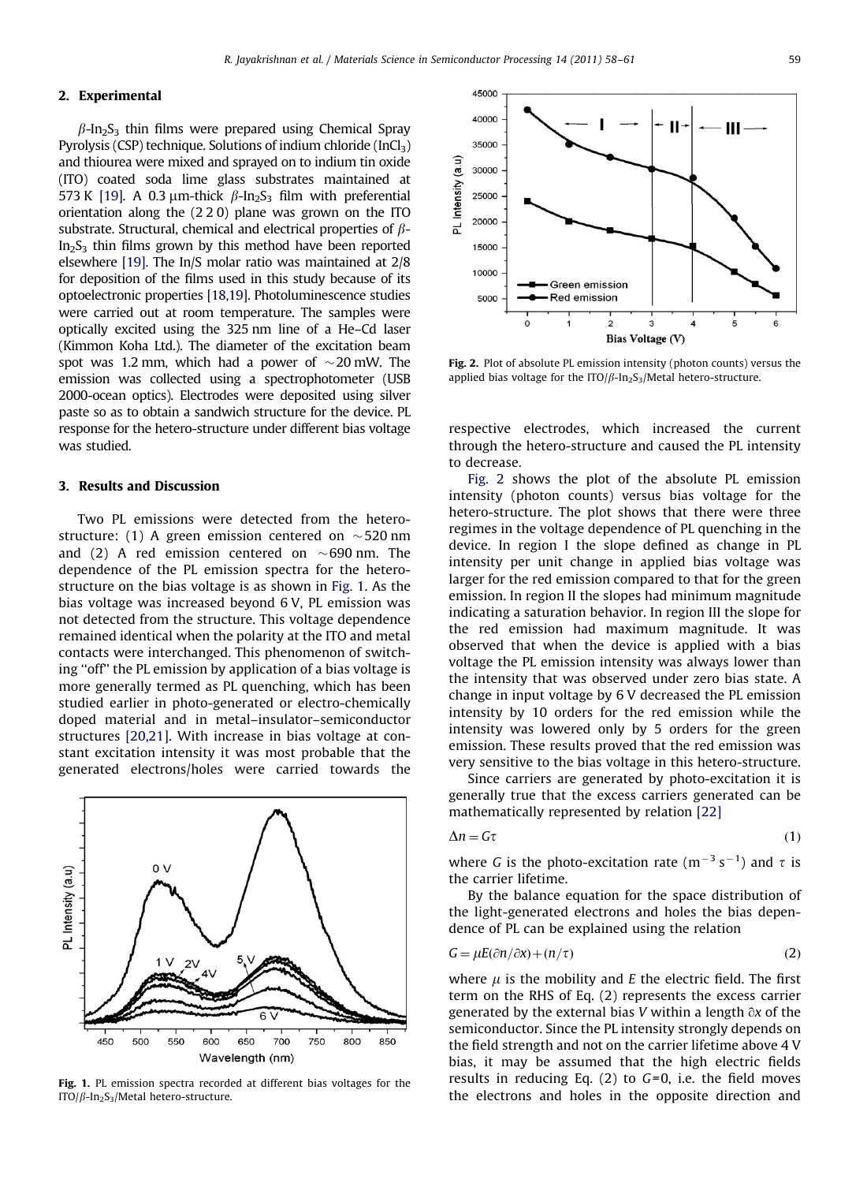# 2. Experimental

 $\beta$ -In<sub>2</sub>S<sub>3</sub> thin films were prepared using Chemical Spray Pyrolysis (CSP) technique. Solutions of indium chloride  $(InCl<sub>3</sub>)$ and thiourea were mixed and sprayed on to indium tin oxide (ITO) coated soda lime glass substrates maintained at 573 K [\[19\]](#page-3-0). A 0.3  $\mu$ m-thick  $\beta$ -In<sub>2</sub>S<sub>3</sub> film with preferential orientation along the (2 2 0) plane was grown on the ITO substrate. Structural, chemical and electrical properties of  $\beta$ - $In<sub>2</sub>S<sub>3</sub>$  thin films grown by this method have been reported elsewhere [\[19\]](#page-3-0). The In/S molar ratio was maintained at 2/8 for deposition of the films used in this study because of its optoelectronic properties [\[18,19\].](#page-3-0) Photoluminescence studies were carried out at room temperature. The samples were optically excited using the 325 nm line of a He–Cd laser (Kimmon Koha Ltd.). The diameter of the excitation beam spot was 1.2 mm, which had a power of  $\sim$ 20 mW. The emission was collected using a spectrophotometer (USB 2000-ocean optics). Electrodes were deposited using silver paste so as to obtain a sandwich structure for the device. PL response for the hetero-structure under different bias voltage was studied.

#### 3. Results and Discussion

Two PL emissions were detected from the heterostructure: (1) A green emission centered on  $\sim$  520 nm and (2) A red emission centered on  $\sim$  690 nm. The dependence of the PL emission spectra for the heterostructure on the bias voltage is as shown in Fig. 1. As the bias voltage was increased beyond 6 V, PL emission was not detected from the structure. This voltage dependence remained identical when the polarity at the ITO and metal contacts were interchanged. This phenomenon of switching ''off'' the PL emission by application of a bias voltage is more generally termed as PL quenching, which has been studied earlier in photo-generated or electro-chemically doped material and in metal–insulator–semiconductor structures [\[20,21\]](#page-3-0). With increase in bias voltage at constant excitation intensity it was most probable that the generated electrons/holes were carried towards the



Fig. 1. PL emission spectra recorded at different bias voltages for the ITO/ $\beta$ -In<sub>2</sub>S<sub>3</sub>/Metal hetero-structure.



Fig. 2. Plot of absolute PL emission intensity (photon counts) versus the applied bias voltage for the ITO/ $\beta$ -In<sub>2</sub>S<sub>3</sub>/Metal hetero-structure.

respective electrodes, which increased the current through the hetero-structure and caused the PL intensity to decrease.

Fig. 2 shows the plot of the absolute PL emission intensity (photon counts) versus bias voltage for the hetero-structure. The plot shows that there were three regimes in the voltage dependence of PL quenching in the device. In region I the slope defined as change in PL intensity per unit change in applied bias voltage was larger for the red emission compared to that for the green emission. In region II the slopes had minimum magnitude indicating a saturation behavior. In region III the slope for the red emission had maximum magnitude. It was observed that when the device is applied with a bias voltage the PL emission intensity was always lower than the intensity that was observed under zero bias state. A change in input voltage by 6 V decreased the PL emission intensity by 10 orders for the red emission while the intensity was lowered only by 5 orders for the green emission. These results proved that the red emission was very sensitive to the bias voltage in this hetero-structure.

Since carriers are generated by photo-excitation it is generally true that the excess carriers generated can be mathematically represented by relation [\[22\]](#page-3-0)

$$
\Delta n = G\tau \tag{1}
$$

where G is the photo-excitation rate  $(m^{-3} s^{-1})$  and  $\tau$  is the carrier lifetime.

By the balance equation for the space distribution of the light-generated electrons and holes the bias dependence of PL can be explained using the relation

$$
G = \mu E(\partial n/\partial x) + (n/\tau) \tag{2}
$$

where  $\mu$  is the mobility and E the electric field. The first term on the RHS of Eq. (2) represents the excess carrier generated by the external bias V within a length  $\partial x$  of the semiconductor. Since the PL intensity strongly depends on the field strength and not on the carrier lifetime above 4 V bias, it may be assumed that the high electric fields results in reducing Eq.  $(2)$  to  $G=0$ , i.e. the field moves the electrons and holes in the opposite direction and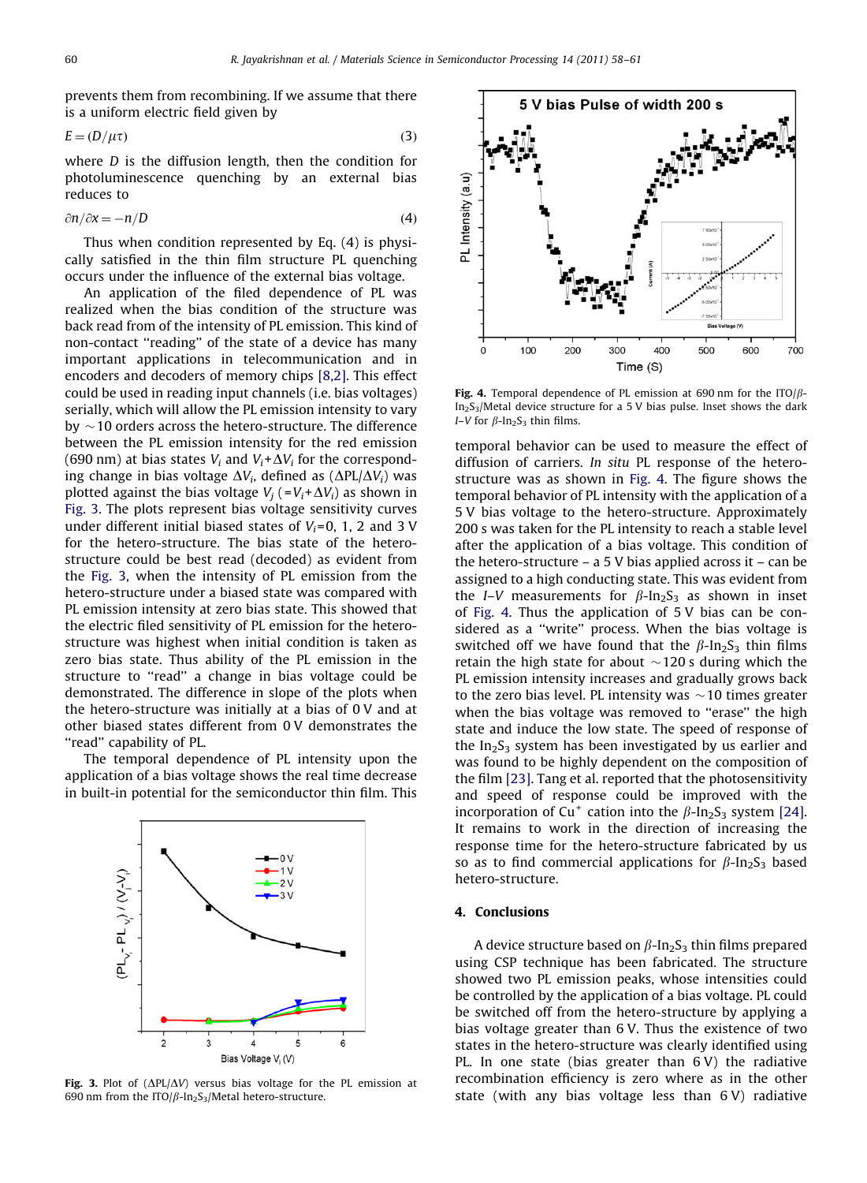prevents them from recombining. If we assume that there is a uniform electric field given by

$$
E = (D/\mu \tau) \tag{3}
$$

where D is the diffusion length, then the condition for photoluminescence quenching by an external bias reduces to

$$
\frac{\partial n}{\partial x} = -n/D \tag{4}
$$

Thus when condition represented by Eq. (4) is physically satisfied in the thin film structure PL quenching occurs under the influence of the external bias voltage.

An application of the filed dependence of PL was realized when the bias condition of the structure was back read from of the intensity of PL emission. This kind of non-contact ''reading'' of the state of a device has many important applications in telecommunication and in encoders and decoders of memory chips [\[8,2\]](#page-3-0). This effect could be used in reading input channels (i.e. bias voltages) serially, which will allow the PL emission intensity to vary by  $\sim$  10 orders across the hetero-structure. The difference between the PL emission intensity for the red emission (690 nm) at bias states  $V_i$  and  $V_i + \Delta V_i$  for the corresponding change in bias voltage  $\Delta V_i$ , defined as ( $\Delta PL/\Delta V_i$ ) was plotted against the bias voltage  $V_i$  (= $V_i + \Delta V_i$ ) as shown in Fig. 3. The plots represent bias voltage sensitivity curves under different initial biased states of  $V_i$ =0, 1, 2 and 3 V for the hetero-structure. The bias state of the heterostructure could be best read (decoded) as evident from the Fig. 3, when the intensity of PL emission from the hetero-structure under a biased state was compared with PL emission intensity at zero bias state. This showed that the electric filed sensitivity of PL emission for the heterostructure was highest when initial condition is taken as zero bias state. Thus ability of the PL emission in the structure to ''read'' a change in bias voltage could be demonstrated. The difference in slope of the plots when the hetero-structure was initially at a bias of 0 V and at other biased states different from 0 V demonstrates the ''read'' capability of PL.

The temporal dependence of PL intensity upon the application of a bias voltage shows the real time decrease in built-in potential for the semiconductor thin film. This



Fig. 3. Plot of  $(\Delta PL/\Delta V)$  versus bias voltage for the PL emission at 690 nm from the ITO/ $\beta$ -In<sub>2</sub>S<sub>3</sub>/Metal hetero-structure.



Fig. 4. Temporal dependence of PL emission at 690 nm for the ITO/ $\beta$ - $In<sub>2</sub>S<sub>3</sub>/Metal device structure for a 5 V bias pulse. Inset shows the dark$ I–V for  $\beta$ -In<sub>2</sub>S<sub>3</sub> thin films.

temporal behavior can be used to measure the effect of diffusion of carriers. In situ PL response of the heterostructure was as shown in Fig. 4. The figure shows the temporal behavior of PL intensity with the application of a 5 V bias voltage to the hetero-structure. Approximately 200 s was taken for the PL intensity to reach a stable level after the application of a bias voltage. This condition of the hetero-structure – a 5 V bias applied across it – can be assigned to a high conducting state. This was evident from the *I–V* measurements for  $\beta$ -In<sub>2</sub>S<sub>3</sub> as shown in inset of Fig. 4. Thus the application of 5 V bias can be considered as a ''write'' process. When the bias voltage is switched off we have found that the  $\beta$ -In<sub>2</sub>S<sub>3</sub> thin films retain the high state for about  $\sim$ 120 s during which the PL emission intensity increases and gradually grows back to the zero bias level. PL intensity was  $\sim$  10 times greater when the bias voltage was removed to "erase" the high state and induce the low state. The speed of response of the  $In_2S_3$  system has been investigated by us earlier and was found to be highly dependent on the composition of the film [\[23\]](#page-3-0). Tang et al. reported that the photosensitivity and speed of response could be improved with the incorporation of Cu<sup>+</sup> cation into the  $\beta$ -In<sub>2</sub>S<sub>3</sub> system [\[24\]](#page-3-0). It remains to work in the direction of increasing the response time for the hetero-structure fabricated by us so as to find commercial applications for  $\beta$ -In<sub>2</sub>S<sub>3</sub> based hetero-structure.

# 4. Conclusions

A device structure based on  $\beta$ -In<sub>2</sub>S<sub>3</sub> thin films prepared using CSP technique has been fabricated. The structure showed two PL emission peaks, whose intensities could be controlled by the application of a bias voltage. PL could be switched off from the hetero-structure by applying a bias voltage greater than 6 V. Thus the existence of two states in the hetero-structure was clearly identified using PL. In one state (bias greater than 6 V) the radiative recombination efficiency is zero where as in the other state (with any bias voltage less than 6 V) radiative